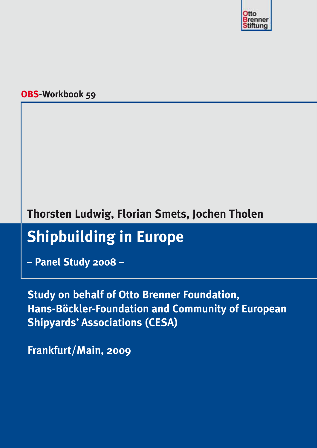

# **OBS-Workbook 59**

# **Thorsten Ludwig, Florian Smets, Jochen Tholen**

# **Shipbuilding in Europe**

**– Panel Study 2008 –**

**Study on behalf of Otto Brenner Foundation, Hans-Böckler-Foundation and Community of European Shipyards' Associations (CESA)**

**Frankfurt/Main, 2009**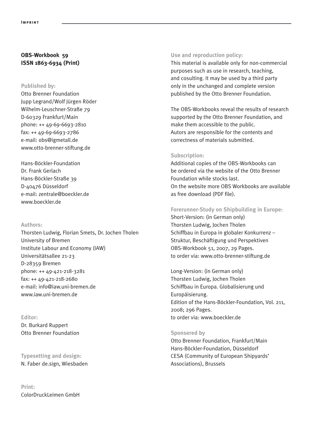# **OBS-Workbook 59 ISSN 1863-6934 (Print)**

#### **Published by:**

Otto Brenner Foundation Jupp Legrand/Wolf Jürgen Röder Wilhelm-Leuschner-Straße 79 D-60329 Frankfurt/Main phone: ++ 49-69-6693-2810 fax: ++ 49-69-6693-2786 e-mail: obs@igmetall.de www.otto-brenner-stiftung.de

Hans-Böckler-Foundation Dr. Frank Gerlach Hans-Böckler-Straße 39 D-40476 Düsseldorf e-mail: zentrale@boeckler.de www.boeckler.de

#### **Authors:**

Thorsten Ludwig, Florian Smets, Dr. Jochen Tholen University of Bremen Institute Labour and Economy (IAW) Universitätsallee 21-23 D-28359 Bremen phone: ++ 49-421-218-3281 fax: ++ 49-421-218-2680 e-mail: info@iaw.uni-bremen.de www.iaw.uni-bremen.de

#### **Editor:**

Dr. Burkard Ruppert Otto Brenner Foundation

# **Typesetting and design:** N. Faber de.sign, Wiesbaden

**Print:** ColorDruckLeimen GmbH

#### **Use and reproduction policy:**

This material is available only for non-commercial purposes such as use in research, teaching, and cosulting. It may be used by a third party only in the unchanged and complete version published by the Otto Brenner Foundation.

The OBS-Workbooks reveal the results of research supported by the Otto Brenner Foundation, and make them accessible to the public. Autors are responsible for the contents and correctness of materials submitted.

#### **Subscription:**

Additional copies of the OBS-Workbooks can be ordered via the website of the Otto Brenner Foundation while stocks last. On the website more OBS Workbooks are available as free download (PDF file).

#### **Forerunner-Study on Shipbuilding in Europe:**

Short-Version: (in German only) Thorsten Ludwig, Jochen Tholen Schiffbau in Europa in globaler Konkurrenz – Struktur, Beschäftigung und Perspektiven OBS-Workbook 51, 2007, 29 Pages. to order via: www.otto-brenner-stiftung.de

Long-Version: (in German only) Thorsten Ludwig, Jochen Tholen Schiffbau in Europa. Globalisierung und Europäisierung. Edition of the Hans-Böckler-Foundation, Vol. 211, 2008; 296 Pages. to order via: www.boeckler.de

#### **Sponsered by**

Otto Brenner Foundation, Frankfurt/Main Hans-Böckler-Foundation, Düsseldorf CESA (Community of European Shipyards' Associations), Brussels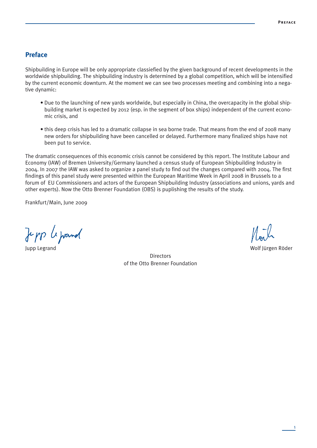# **Preface**

Shipbuilding in Europe will be only appropriate classiefied by the given background of recent developments in the worldwide shipbuilding. The shipbuilding industry is determined by a global competition, which will be intensified by the current economic downturn. At the moment we can see two processes meeting and combining into a negative dynamic:

- Due to the launching of new yards worldwide, but especially in China, the overcapacity in the global shipbuilding market is expected by 2012 (esp. in the segment of box ships) independent of the current economic crisis, and
- this deep crisis has led to a dramatic collapse in sea borne trade. That means from the end of 2008 many new orders for shipbuilding have been cancelled or delayed. Furthermore many finalized ships have not been put to service.

The dramatic consequences of this economic crisis cannot be considered by this report. The Institute Labour and Economy (IAW) of Bremen University/Germany launched a census study of European Shipbuilding Industry in 2004. In 2007 the IAW was asked to organize a panel study to find out the changes compared with 2004. The first findings of this panel study were presented within the European Maritime Week in April 2008 in Brussels to a forum of EU Commissioners and actors of the European Shipbuilding Industry (associations and unions, yards and other experts). Now the Otto Brenner Foundation (OBS) is puplishing the results of the study.

Frankfurt/Main, June 2009

Jepp a prand

Jupp Legrand Wolf Jürgen Röder

**Directors** of the Otto Brenner Foundation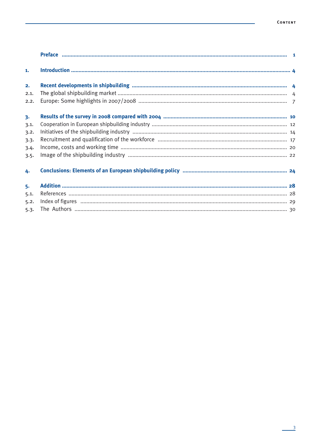| 1.   |  |
|------|--|
| 2.   |  |
| 2.1. |  |
| 2.2. |  |
| 3.   |  |
| 3.1. |  |
| 3.2. |  |
| 3.3. |  |
| 3.4. |  |
| 3.5. |  |
| 4.   |  |
| 5.   |  |
| 5.1. |  |
| 5.2. |  |
| 5.3. |  |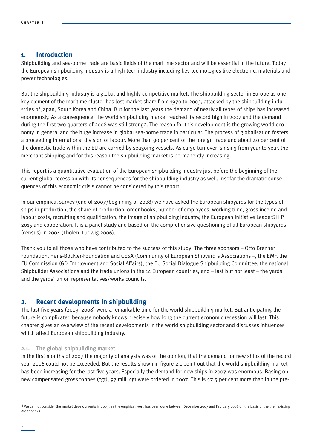# **1. Introduction**

Shipbuilding and sea-borne trade are basic fields of the maritime sector and will be essential in the future. Today the European shipbuilding industry is a high-tech industry including key technologies like electronic, materials and power technologies.

But the shipbuilding industry is a global and highly competitive market. The shipbuilding sector in Europe as one key element of the maritime cluster has lost market share from 1970 to 2003, attacked by the shipbuilding industries of Japan, South Korea and China. But for the last years the demand of nearly all types of ships has increased enormously. As a consequence, the world shipbuilding market reached its record high in 2007 and the demand during the first two quarters of 2008 was still strong<sup>3</sup>. The reason for this development is the growing world economy in general and the huge increase in global sea-borne trade in particular. The process of globalisation fosters a proceeding international division of labour. More than 90 per cent of the foreign trade and about 40 per cent of the domestic trade within the EU are carried by seagoing vessels. As cargo turnover is rising from year to year, the merchant shipping and for this reason the shipbuilding market is permanently increasing.

This report is a quantitative evaluation of the European shipbuilding industry just before the beginning of the current global recession with its consequences for the shipbuilding industry as well. Insofar the dramatic consequences of this economic crisis cannot be considered by this report.

In our empirical survey (end of 2007/beginning of 2008) we have asked the European shipyards for the types of ships in production, the share of production, order books, number of employees, working time, gross income and labour costs, recruiting and qualification, the image of shipbuilding industry, the European Initiative LeaderSHIP 2015 and cooperation. It is a panel study and based on the comprehensive questioning of all European shipyards (census) in 2004 (Tholen, Ludwig 2006).

Thank you to all those who have contributed to the success of this study: The three sponsors – Otto Brenner Foundation, Hans-Böckler-Foundation and CESA (Community of European Shipyard´s Associations –, the EMF, the EU Commission (GD Employment and Social Affairs), the EU Social Dialogue Shipbuilding Committee, the national Shipbuilder Associations and the trade unions in the  $14$  European countries, and  $-$  last but not least  $-$  the vards and the yards´ union representatives/works councils.

# **2. Recent developments in shipbuilding**

The last five years (2003–2008) were a remarkable time for the world shipbuilding market. But anticipating the future is complicated because nobody knows precisely how long the current economic recession will last. This chapter gives an overwiew of the recent developments in the world shipbuilding sector and discusses influences which affect European shipbuilding industry.

#### **2.1. The global shipbuilding market**

In the first months of 2007 the majority of analysts was of the opinion, that the demand for new ships of the record year 2006 could not be exceeded. But the results shown in figure 2.1 point out that the world shipbuilding market has been increasing for the last five years. Especially the demand for new ships in 2007 was enormous. Basing on new compensated gross tonnes (cgt), 97 mill. cgt were ordered in 2007. This is 57.5 per cent more than in the pre-

<sup>3</sup> We cannot consider the market developments in 2009, as the empirical work has been done between December 2007 and February 2008 on the basis of the then existing order books.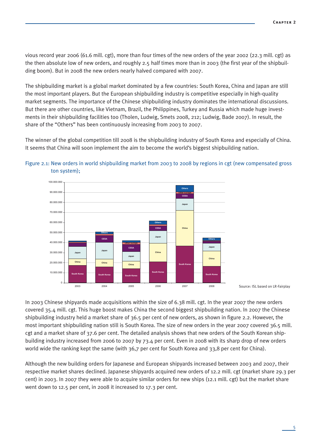vious record year 2006 (61.6 mill. cgt), more than four times of the new orders of the year 2002 (22.3 mill. cgt) as the then absolute low of new orders, and roughly 2.5 half times more than in 2003 (the first year of the shipbuilding boom). But in 2008 the new orders nearly halved compared with 2007.

The shipbuilding market is a global market dominated by a few countries: South Korea, China and Japan are still the most important players. But the European shipbuilding industry is competitive especially in high-quality market segments. The importance of the Chinese shipbuilding industry dominates the international discussions. But there are other countries, like Vietnam, Brazil, the Philippines, Turkey and Russia which made huge investments in their shipbuilding facilities too (Tholen, Ludwig, Smets 2008, 212; Ludwig, Bade 2007). In result, the share of the "Others" has been continuously increasing from 2003 to 2007.

The winner of the global competition till 2008 is the shipbuilding industry of South Korea and especially of China. It seems that China will soon implement the aim to become the world's biggest shipbuilding nation.





Source: ISL based on LR-Fairplay

In 2003 Chinese shipyards made acquisitions within the size of 6.38 mill. cgt. In the year 2007 the new orders covered 35.4 mill. cgt. This huge boost makes China the second biggest shipbuilding nation. In 2007 the Chinese shipbuilding industry held a market share of 36.5 per cent of new orders, as shown in figure 2.2. However, the most important shipbuilding nation still is South Korea. The size of new orders in the year 2007 covered 36.5 mill. cgt and a market share of 37.6 per cent. The detailed analysis shows that new orders of the South Korean shipbuilding industry increased from 2006 to 2007 by 73.4 per cent. Even in 2008 with its sharp drop of new orders world wide the ranking kept the same (with 36,7 per cent for South Korea and 33,8 per cent for China).

Although the new building orders for Japanese and European shipyards increased between 2003 and 2007, their respective market shares declined. Japanese shipyards acquired new orders of 12.2 mill. cgt (market share 29.3 per cent) in 2003. In 2007 they were able to acquire similar orders for new ships (12.1 mill. cgt) but the market share went down to 12.5 per cent, in 2008 it increased to 17.3 per cent.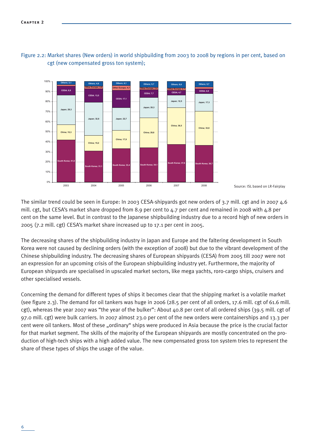

# Figure 2.2: Market shares (New orders) in world shipbuilding from 2003 to 2008 by regions in per cent, based on cgt (new compensated gross ton system);

The similar trend could be seen in Europe: In 2003 CESA-shipyards got new orders of 3.7 mill. cgt and in 2007 4.6 mill. cgt, but CESA's market share dropped from 8.9 per cent to 4.7 per cent and remained in 2008 with 4.8 per cent on the same level. But in contrast to the Japanese shipbuilding industry due to a record high of new orders in 2005 (7.2 mill. cgt) CESA's market share increased up to 17.1 per cent in 2005.

The decreasing shares of the shipbuilding industry in Japan and Europe and the faltering development in South Korea were not caused by declining orders (with the exception of 2008) but due to the vibrant development of the Chinese shipbuilding industry. The decreasing shares of European shipyards (CESA) from 2005 till 2007 were not an expression for an upcoming crisis of the European shipbuilding industry yet. Furthermore, the majority of European shipyards are specialised in upscaled market sectors, like mega yachts, roro-cargo ships, cruisers and other specialised vessels.

Concerning the demand for different types of ships it becomes clear that the shipping market is a volatile market (see figure 2.3). The demand for oil tankers was huge in 2006 (28.5 per cent of all orders, 17.6 mill. cgt of 61.6 mill. cgt), whereas the year 2007 was "the year of the bulker": About 40.8 per cent of all ordered ships (39.5 mill. cgt of 97.0 mill. cgt) were bulk carriers. In 2007 almost 23.0 per cent of the new orders were containerships and 13.3 per cent were oil tankers. Most of these "ordinary" ships were produced in Asia because the price is the crucial factor for that market segment. The skills of the majority of the European shipyards are mostly concentrated on the production of high-tech ships with a high added value. The new compensated gross ton system tries to represent the share of these types of ships the usage of the value.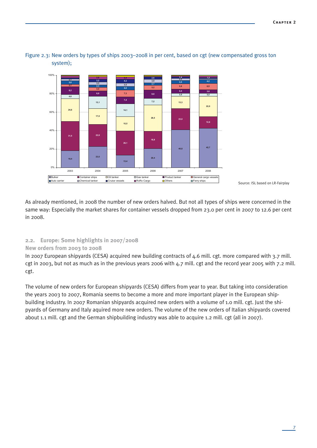

# Figure 2.3: New orders by types of ships 2003–2008 in per cent, based on cgt (new compensated gross ton system);

Source: ISL based on LR-Fairplay

As already mentioned, in 2008 the number of new orders halved. But not all types of ships were concerned in the same way: Especially the market shares for container vessels dropped from 23.0 per cent in 2007 to 12.6 per cent in 2008.

# **2.2. Europe: Some highlights in 2007/2008**

# **New orders from 2003 to 2008**

In 2007 European shipyards (CESA) acquired new building contracts of 4.6 mill. cgt. more compared with 3.7 mill. cgt in 2003, but not as much as in the previous years 2006 with 4.7 mill. cgt and the record year 2005 with 7.2 mill. cgt.

The volume of new orders for European shipyards (CESA) differs from year to year. But taking into consideration the years 2003 to 2007, Romania seems to become a more and more important player in the European shipbuilding industry. In 2007 Romanian shipyards acquired new orders with a volume of 1.0 mill. cgt. Just the shipyards of Germany and Italy aquired more new orders. The volume of the new orders of Italian shipyards covered about 1.1 mill. cgt and the German shipbuilding industry was able to acquire 1.2 mill. cgt (all in 2007).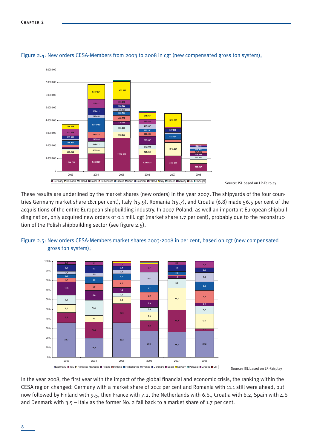

Figure 2.4: New orders CESA-Members from 2003 to 2008 in cgt (new compensated gross ton system);

Source: ISL based on LR-Fairplay

These results are underlined by the market shares (new orders) in the year 2007. The shipyards of the four countries Germany market share 18.1 per cent), Italy (15.9), Romania (15.7), and Croatia (6.8) made 56.5 per cent of the acquisitions of the entire European shipbuilding industry. In 2007 Poland, as well an important European shipbuilding nation, only acquired new orders of 0.1 mill. cgt (market share 1.7 per cent), probably due to the reconstruction of the Polish shipbuilding sector (see figure 2.5).





Source: ISL based on LR-Fairplay

In the year 2008, the first year with the impact of the global financial and economic crisis, the ranking within the CESA region changed: Germany with a market share of 20.2 per cent and Romania with 11.1 still were ahead, but now followed by Finland with 9.5, then France with 7.2, the Netherlands with 6.6., Croatia with 6.2, Spain with 4.6 and Denmark with 3.5 – Italy as the former No. 2 fall back to a market share of 1.7 per cent.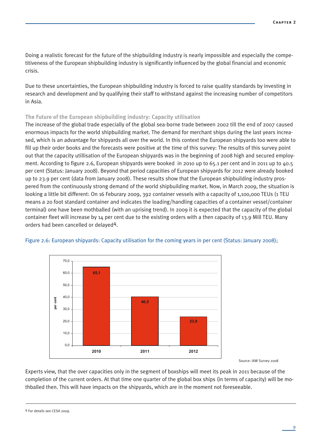Doing a realistic forecast for the future of the shipbuilding industry is nearly impossible and especially the competitiveness of the European shipbuilding industry is significantly influenced by the global financial and economic crisis.

Due to these uncertainties, the European shipbuilding industry is forced to raise quality standards by investing in research and development and by qualifying their staff to withstand against the increasing number of competitors in Asia.

#### **The Future of the European shipbuilding industry: Capacity utilisation**

The increase of the global trade especially of the global sea-borne trade between 2002 till the end of 2007 caused enormous impacts for the world shipbuilding market. The demand for merchant ships during the last years increased, which is an advantage for shipyards all over the world. In this context the European shipyards too were able to fill up their order books and the forecasts were positive at the time of this survey: The results of this survey point out that the capacity utillisation of the European shipyards was in the beginning of 2008 high and secured employment. According to figure 2.6, European shipyards were booked in 2010 up to 65.1 per cent and in 2011 up to 40.5 per cent (Status: January 2008). Beyond that period capacities of European shipyards for 2012 were already booked up to 23.9 per cent (data from January 2008). These results show that the European shipbuilding industry prospered from the continuously strong demand of the world shipbuilding market. Now, in March 2009, the situation is looking a little bit different: On 16 Feburary 2009, 392 container vessels with a capacity of 1,100,000 TEUs (1 TEU means a 20 foot standard container and indicates the loading/handling capacities of a container vessel/container terminal) one have been mothballed (with an uprising trend). In 2009 it is expected that the capacity of the global container fleet will increase by 14 per cent due to the existing orders with a then capacity of 13.9 Mill TEU. Many orders had been cancelled or delayed4.



#### Figure 2.6: European shipyards: Capacity utilisation for the coming years in per cent (Status: January 2008);

Source: IAW Survey 2008

Experts view, that the over capacities only in the segment of boxships will meet its peak in 2011 because of the completion of the current orders. At that time one quarter of the global box ships (in terms of capacity) will be mothballed then. This will have impacts on the shipyards, which are in the moment not foreseeable.

4 For details see CESA 2009.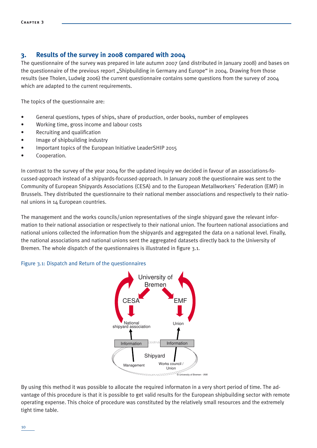# **3. Results of the survey in 2008 compared with 2004**

The questionnaire of the survey was prepared in late autumn 2007 (and distributed in January 2008) and bases on the questionnaire of the previous report "Shipbuilding in Germany and Europe" in 2004. Drawing from those results (see Tholen, Ludwig 2006) the current questionnaire contains some questions from the survey of 2004 which are adapted to the current requirements.

The topics of the questionnaire are:

- General questions, types of ships, share of production, order books, number of employees
- Working time, gross income and labour costs
- Recruiting and qualification
- Image of shipbuilding industry
- Important topics of the European Initiative LeaderSHIP 2015
- Cooperation.

In contrast to the survey of the year 2004 for the updated inquiry we decided in favour of an associations-focussed-approach instead of a shipyards-focussed-approach. In January 2008 the questionnaire was sent to the Community of European Shipyards Associations (CESA) and to the European Metallworkers´ Federation (EMF) in Brussels. They distributed the questionnaire to their national member associations and respectively to their national unions in 14 European countries.

The management and the works councils/union representatives of the single shipyard gave the relevant information to their national association or respectively to their national union. The fourteen national associations and national unions collected the information from the shipyards and aggregated the data on a national level. Finally, the national associations and national unions sent the aggregated datasets directly back to the University of Bremen. The whole dispatch of the questionnaires is illustrated in figure 3.1.

#### Figure 3.1: Dispatch and Return of the questionnaires



By using this method it was possible to allocate the required informaton in a very short period of time. The advantage of this procedure is that it is possible to get valid results for the European shipbuilding sector with remote operating expense. This choice of procedure was constituted by the relatively small resources and the extremely tight time table.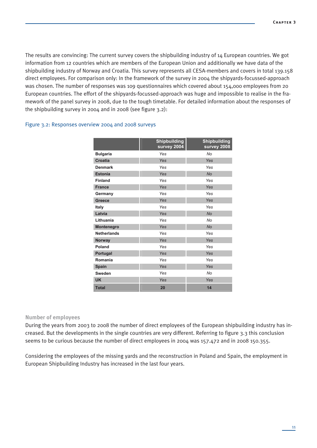The results are convincing: The current survey covers the shipbuilding industry of 14 European countries. We got information from 12 countries which are members of the European Union and additionally we have data of the shipbuilding industry of Norway and Croatia. This survey represents all CESA-members and covers in total 139.158 direct employees. For comparison only: In the framework of the survey in 2004 the shipyards-focussed-approach was chosen. The number of responses was 109 questionnaires which covered about 154,000 employees from 20 European countries. The effort of the shipyards-focussed-approach was huge and impossible to realise in the framework of the panel survey in 2008, due to the tough timetable. For detailed information about the responses of the shipbuilding survey in 2004 and in 2008 (see figure  $3.2$ ):

#### Figure 3.2: Responses overview 2004 and 2008 surveys

|                    | <b>Shipbuilding</b><br>survey 2004 | <b>Shipbuilding</b><br>survey 2008 |
|--------------------|------------------------------------|------------------------------------|
| <b>Bulgaria</b>    | Yes                                | No                                 |
| <b>Croatia</b>     | Yes                                | Yes                                |
| <b>Denmark</b>     | Yes                                | Yes                                |
| <b>Estonia</b>     | Yes                                | <b>No</b>                          |
| <b>Finland</b>     | Yes                                | Yes                                |
| <b>France</b>      | Yes                                | Yes                                |
| Germany            | Yes                                | Yes                                |
| <b>Greece</b>      | Yes                                | Yes                                |
| <b>Italy</b>       | Yes                                | Yes                                |
| Latvia             | Yes                                | <b>No</b>                          |
| Lithuania          | Yes                                | <b>No</b>                          |
| <b>Montenegro</b>  | Yes                                | <b>No</b>                          |
| <b>Netherlands</b> | Yes                                | Yes                                |
| <b>Norway</b>      | Yes                                | Yes                                |
| Poland             | Yes                                | Yes                                |
| Portugal           | Yes                                | Yes                                |
| Romania            | Yes                                | Yes                                |
| <b>Spain</b>       | Yes                                | Yes                                |
| Sweden             | Yes                                | No                                 |
| <b>UK</b>          | Yes                                | Yes                                |
| <b>Total</b>       | 20                                 | 14                                 |

#### **Number of employees**

During the years from 2003 to 2008 the number of direct employees of the European shipbuilding industry has increased. But the developments in the single countries are very different. Referring to figure 3.3 this conclusion seems to be curious because the number of direct employees in 2004 was 157.472 and in 2008 150.355.

Considering the employees of the missing yards and the reconstruction in Poland and Spain, the employment in European Shipbuilding Industry has increased in the last four years.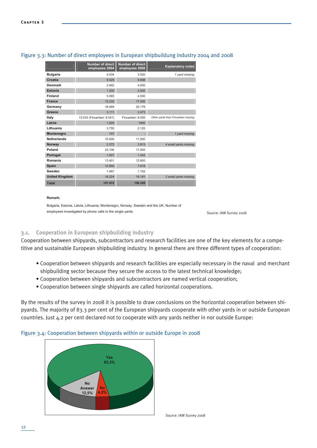#### Figure 3.3: Number of direct employees in European shipbuildung industry 2004 and 2008

|                       | Number of direct<br>employees 2004 | <b>Number of direct</b><br>employees 2008 | <b>Explanatory notes</b>             |
|-----------------------|------------------------------------|-------------------------------------------|--------------------------------------|
| <b>Bulgaria</b>       | 4.034                              | 3.520                                     | 1 yard missing                       |
| Croatia               | 9.529                              | 9.698                                     |                                      |
| <b>Denmark</b>        | 2.902                              | 4.000                                     |                                      |
| <b>Estonia</b>        | 1.200                              | 2.500                                     |                                      |
| <b>Finland</b>        | 5.565                              | 4.500                                     |                                      |
| <b>France</b>         | 15.230                             | 17,000                                    |                                      |
| Germany               | 18.489                             | 20.178                                    |                                      |
| Greece                | 3.111                              | 2.473                                     |                                      |
| Italy                 | 12.033 (Fincantieri: 9.041)        | Fincantieri: 9.055                        | Other yards than Fincantieri missing |
| Latvia                | 1.620                              | 1900                                      |                                      |
| Lithuania             | 3.755                              | 2.125                                     |                                      |
| Montenegro            | 747                                |                                           | 1 vard missing                       |
| <b>Netherlands</b>    | 10.000                             | 11.500                                    |                                      |
| Norway                | 2.272                              | 3.913                                     | 4 small yards missing                |
| Poland                | 23.106                             | 17.000                                    |                                      |
| Portugal              | 1.937                              | 1.242                                     |                                      |
| Romania               | 13.401                             | 12.600                                    |                                      |
| Spain                 | 10.850                             | 7.818                                     |                                      |
| Sweden                | 1.467                              | 1.152                                     |                                      |
| <b>United Kingdom</b> | 16.224                             | 18.181                                    | 2 small yards missing                |
| <b>Total</b>          | 157.472                            | 150.355                                   |                                      |

#### Remark<sup>®</sup>

Bulgaria, Estonia, Latvia, Lithuania, Montenegro, Norway, Sweden and the UK: Number of employees investigated by phone calls to the single yards.

Source: IAW Survey 2008

#### Cooperation in European shipbuilding industry  $3.1.$

Cooperation between shipyards, subcontractors and research facilities are one of the key elements for a competitive and sustainable European shipbuilding industry. In general there are three different types of cooperation:

- Cooperation between shipyards and research facilities are especially necessary in the naval and merchant shipbuilding sector because they secure the access to the latest technical knowledge;
- Cooperation between shipyards and subcontractors are named vertical cooperation;
- Cooperation between single shipyards are called horizontal cooperations.

By the results of the survey in 2008 it is possible to draw conclusions on the horizontal cooperation between shipyards. The majority of 83.3 per cent of the European shipyards cooperate with other yards in or outside European countries. Just 4.2 per cent declared not to cooperate with any yards neither in nor outside Europe:



# Figure 3.4: Cooperation between shipyards within or outside Europe in 2008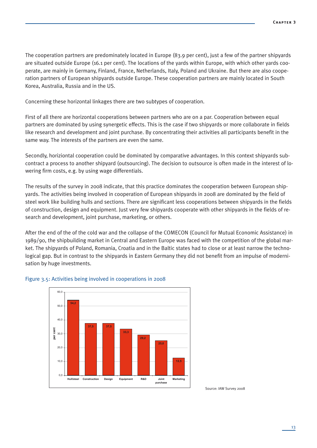The cooperation partners are predominately located in Europe (83.9 per cent), just a few of the partner shipyards are situated outside Europe (16.1 per cent). The locations of the yards within Europe, with which other yards cooperate, are mainly in Germany, Finland, France, Netherlands, Italy, Poland and Ukraine. But there are also cooperation partners of European shipyards outside Europe. These cooperation partners are mainly located in South Korea, Australia, Russia and in the US.

Concerning these horizontal linkages there are two subtypes of cooperation.

First of all there are horizontal cooperations between partners who are on a par. Cooperation between equal partners are dominated by using synergetic effects. This is the case if two shipyards or more collaborate in fields like research and development and joint purchase. By concentrating their activities all participants benefit in the same way. The interests of the partners are even the same.

Secondly, horiziontal cooperation could be dominated by comparative advantages. In this context shipyards subcontract a process to another shipyard (outsourcing). The decision to outsource is often made in the interest of lowering firm costs, e.g. by using wage differentials.

The results of the survey in 2008 indicate, that this practice dominates the cooperation between European shipyards. The activities being involved in cooperation of European shipyards in 2008 are dominated by the field of steel work like building hulls and sections. There are significant less cooperations between shipyards in the fields of construction, design and equipment. Just very few shipyards cooperate with other shipyards in the fields of research and development, joint purchase, marketing, or others.

After the end of the of the cold war and the collapse of the COMECON (Council for Mutual Economic Assistance) in 1989/90, the shipbuilding market in Central and Eastern Europe was faced with the competition of the global market. The shipyards of Poland, Romania, Croatia and in the Baltic states had to close or at least narrow the technological gap. But in contrast to the shipyards in Eastern Germany they did not benefit from an impulse of modernisation by huge investments.



#### Figure 3.5: Activities being involved in cooperations in 2008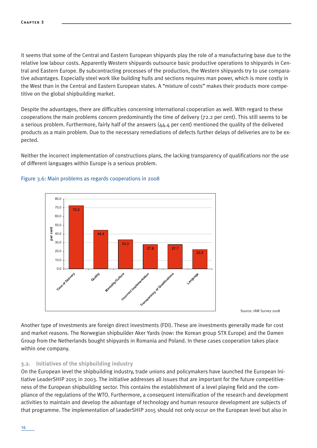It seems that some of the Central and Eastern European shipyards play the role of a manufacturing base due to the relative low labour costs. Apparently Western shipyards outsource basic productive operations to shipyards in Central and Eastern Europe. By subcontracting processes of the production, the Western shipyards try to use comparative advantages. Especially steel work like building hulls and sections requires man power, which is more costly in the West than in the Central and Eastern European states. A "mixture of costs" makes their products more competitive on the global shipbuilding market.

Despite the advantages, there are difficulties concerning international cooperation as well. With regard to these cooperations the main problems concern predominantly the time of delivery (72.2 per cent). This still seems to be a serious problem. Furthermore, fairly half of the answers (44.4 per cent) mentioned the quality of the delivered products as a main problem. Due to the necessary remediations of defects further delays of deliveries are to be expected.

Neither the incorrect implementation of constructions plans, the lacking transparency of qualifications nor the use of different languages within Europe is a serious problem.



#### Figure 3.6: Main problems as regards cooperations in 2008

Source: IAW Survey 2008

Another type of investments are foreign direct investments (FDI). These are investments generally made for cost and market reasons. The Norwegian shipbuilder Aker Yards (now: the Korean group STX Europe) and the Damen Group from the Netherlands bought shipyards in Romania and Poland. In these cases cooperation takes place within one company.

#### **3.2. Initiatives of the shipbuilding industry**

On the European level the shipbuilding industry, trade unions and policymakers have launched the European Initiative LeaderSHIP 2015 in 2003. The initiative addresses all issues that are important for the future competitiveness of the European shipbuilding sector. This contains the establishment of a level playing field and the compliance of the regulations of the WTO. Furthermore, a consequent intensification of the research and development activities to maintain and develop the advantage of technology and human resource development are subjects of that programme. The implementation of LeaderSHIP 2015 should not only occur on the European level but also in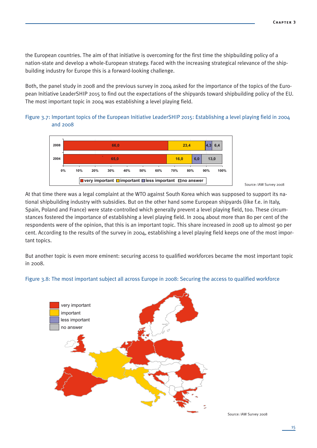the European countries. The aim of that initiative is overcoming for the first time the shipbuilding policy of a nation-state and develop a whole-European strategy. Faced with the increasing strategical relevance of the shipbuilding industry for Europe this is a forward-looking challenge.

Both, the panel study in 2008 and the previous survey in 2004 asked for the importance of the topics of the European Initiative LeaderSHIP 2015 to find out the expectations of the shipyards toward shipbuilding policy of the EU. The most important topic in 2004 was establishing a level playing field.

Figure 3.7: Important topics of the European Initiative LeaderSHIP 2015: Establishing a level playing field in 2004 and 2008



Source: IAW Survey 2008

At that time there was a legal complaint at the WTO against South Korea which was supposed to support its national shipbuilding industry with subsidies. But on the other hand some European shipyards (like f.e. in Italy, Spain, Poland and France) were state-controlled which generally prevent a level playing field, too. These circumstances fostered the importance of establishing a level playing field. In 2004 about more than 80 per cent of the respondents were of the opinion, that this is an important topic. This share increased in 2008 up to almost 90 per cent. According to the results of the survey in 2004, establishing a level playing field keeps one of the most important topics.

But another topic is even more eminent: securing access to qualified workforces became the most important topic in 2008.

# Figure 3.8: The most important subject all across Europe in 2008: Securing the access to qualified workforce

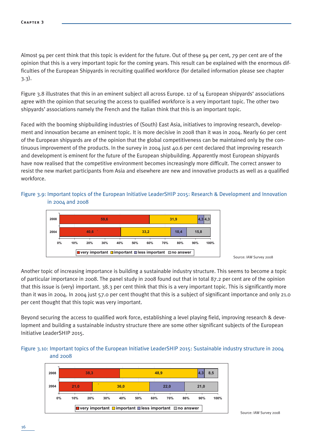Almost 94 per cent think that this topic is evident for the future. Out of these 94 per cent, 79 per cent are of the opinion that this is a very important topic for the coming years. This result can be explained with the enormous difficulties of the European Shipyards in recruiting qualified workforce (for detailed information please see chapter 3.3).

Figure 3.8 illustrates that this in an eminent subject all across Europe. 12 of 14 European shipyards' associations agree with the opinion that securing the access to qualified workforce is a very important topic. The other two shipyards' associations namely the French and the Italian think that this is an important topic.

Faced with the booming shipbuilding industries of (South) East Asia, initiatives to improving research, development and innovation became an eminent topic. It is more decisive in 2008 than it was in 2004. Nearly 60 per cent of the European shipyards are of the opinion that the global competitiveness can be maintained only by the continuous improvement of the products. In the survey in 2004 just 40.6 per cent declared that improving research and development is eminent for the future of the European shipbuilding. Apparently most European shipyards have now realised that the competitive environment becomes increasingly more difficult. The correct answer to resist the new market participants from Asia and elsewhere are new and innovative products as well as a qualified workforce.

# Figure 3.9: Important topics of the European Initiative LeaderSHIP 2015: Research & Development and Innovation in 2004 and 2008



Source: IAW Survey 2008

Another topic of increasing importance is building a sustainable industry structure. This seems to become a topic of particular importance in 2008. The panel study in 2008 found out that in total 87.2 per cent are of the opinion that this issue is (very) important. 38.3 per cent think that this is a very important topic. This is significantly more than it was in 2004. In 2004 just 57.0 per cent thought that this is a subject of significant importance and only 21.0 per cent thought that this topic was very important.

Beyond securing the access to qualified work force, establishing a level playing field, improving research & development and building a sustainable industry structure there are some other significant subjects of the European Initiative LeaderSHIP 2015.

# Figure 3.10: Important topics of the European Initiative LeaderSHIP 2015: Sustainable industry structure in 2004 and 2008

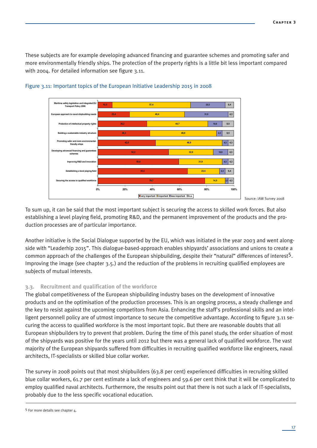These subjects are for example developing advanced financing and guarantee schemes and promoting safer and more environmentally friendly ships. The protection of the property rights is a little bit less important compared with 2004. For detailed information see figure 3.11.



#### Figure 3.11: Important topics of the European Initiative Leadership 2015 in 2008

Source: IAW Survey 2008

To sum up, it can be said that the most important subject is securing the access to skilled work forces. But also establishing a level playing field, promoting R&D, and the permanent improvement of the products and the production processes are of particular importance.

Another initiative is the Social Dialogue supported by the EU, which was initiated in the year 2003 and went alongside with "Leaderhip 2015". This dialogue-based-approach enables shipyards' associations and unions to create a common approach of the challenges of the European shipbuilding, despite their "natural" differences of interest5. Improving the image (see chapter 3.5.) and the reduction of the problems in recruiting qualified employees are subjects of mutual interests.

# **3.3. Recruitment and qualification of the workforce**

The global competitiveness of the European shipbuilding industry bases on the development of innovative products and on the optimisation of the production processes. This is an ongoing process, a steady challenge and the key to resist against the upcoming competitors from Asia. Enhancing the staff's professional skills and an intelligent personnell policy are of utmost importance to secure the competitive advantage. According to figure 3.11 securing the access to qualified workforce is the most important topic. But there are reasonable doubts that all European shipbuilders try to prevent that problem. During the time of this panel study, the order situation of most of the shipyards was positive for the years until 2012 but there was a general lack of qualified workforce. The vast majority of the European shipyards suffered from difficulties in recruiting qualified workforce like engineers, naval architects, IT-specialists or skilled blue collar worker.

The survey in 2008 points out that most shipbuilders (63.8 per cent) experienced difficulties in recruiting skilled blue collar workers, 61.7 per cent estimate a lack of engineers and 59.6 per cent think that it will be complicated to employ qualified naval architects. Furthermore, the results point out that there is not such a lack of IT-specialists, probably due to the less specific vocational education.

<sup>5</sup> For more details see chapter 4.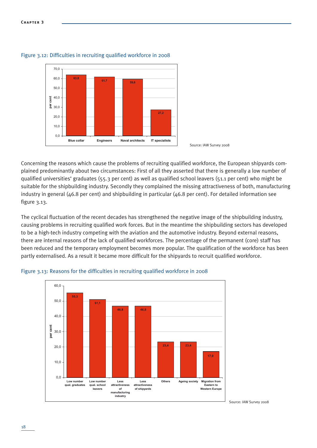



Concerning the reasons which cause the problems of recruiting qualified workforce, the European shipyards complained predominantly about two circumstances: First of all they asserted that there is generally a low number of qualified universities' graduates (55.3 per cent) as well as qualified school leavers (51.1 per cent) who might be suitable for the shipbuilding industry. Secondly they complained the missing attractiveness of both, manufacturing industry in general (46.8 per cent) and shipbuilding in particular (46.8 per cent). For detailed information see figure 3.13.

The cyclical fluctuation of the recent decades has strengthened the negative image of the shipbuilding industry, causing problems in recruiting qualified work forces. But in the meantime the shipbuilding sectors has developed to be a high-tech industry competing with the aviation and the automotive industry. Beyond external reasons, there are internal reasons of the lack of qualified workforces. The percentage of the permanent (core) staff has been reduced and the temporary employment becomes more popular. The qualification of the workforce has been partly externalised. As a result it became more difficult for the shipyards to recruit qualified workforce.



#### Figure 3.13: Reasons for the difficulties in recruiting qualified workforce in 2008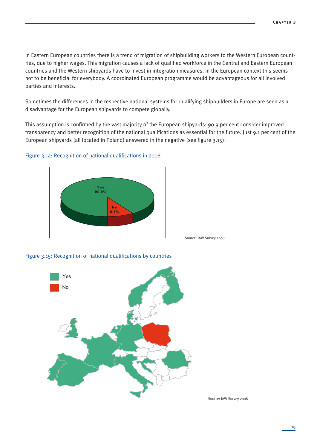In Eastern European countries there is a trend of migration of shipbuilding workers to the Western European countries, due to higher wages. This migration causes a lack of qualified workforce in the Central and Eastern European countries and the Western shipyards have to invest in integration measures. In the European context this seems not to be beneficial for everybody. A coordinated European programme would be advantageous for all involved parties and interests.

Sometimes the differences in the respective national systems for qualifying shipbuilders in Europe are seen as a disadvantage for the European shipyards to compete globally.

This assumption is confirmed by the vast majority of the European shipyards: 90.9 per cent consider improved transparency and better recognition of the national qualifications as essential for the future. Just 9.1 per cent of the European shipyards (all located in Poland) answered in the negative (see figure 3.15):

#### Figure 3.14: Recognition of national qualifications in 2008



Source: IAW Survey 2008



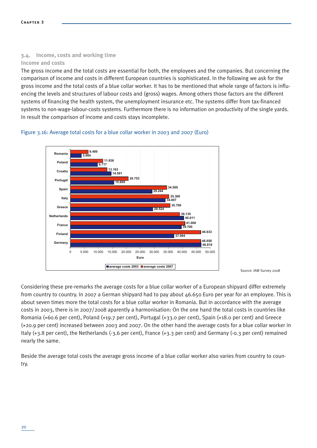# **3.4. Income, costs and working time**

# **Income and costs**

The gross income and the total costs are essential for both, the employees and the companies. But concerning the comparison of income and costs in different European countries is sophisticated. In the following we ask for the gross income and the total costs of a blue collar worker. It has to be mentioned that whole range of factors is influencing the levels and structures of labour costs and (gross) wages. Among others those factors are the different systems of financing the health system, the unemployment insurance etc. The systems differ from tax-financed systems to non-wage-labour-costs systems. Furthermore there is no information on productivity of the single yards. In result the comparison of income and costs stays incomplete.

#### Figure 3.16: Average total costs for a blue collar worker in 2003 and 2007 (Euro)



Source: IAW Survey 2008

Considering these pre-remarks the average costs for a blue collar worker of a European shipyard differ extremely from country to country. In 2007 a German shipyard had to pay about 46.650 Euro per year for an employee. This is about seven times more the total costs for a blue collar worker in Romania. But in accordance with the average costs in 2003, there is in 2007/2008 aparently a harmonisation: On the one hand the total costs in countries like Romania (+60.6 per cent), Poland (+19.7 per cent), Portugal (+33.0 per cent), Spain (+18.0 per cent) and Greece (+20.9 per cent) increased between 2003 and 2007. On the other hand the average costs for a blue collar worker in Italy (+3.8 per cent), the Netherlands (-3.6 per cent), France (+3.3 per cent) and Germany (-0.3 per cent) remained nearly the same.

Beside the average total costs the average gross income of a blue collar worker also varies from country to country.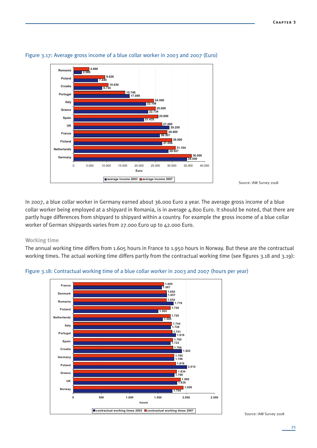

Figure 3.17: Average gross income of a blue collar worker in 2003 and 2007 (Euro)

Source: IAW Survey 2008

In 2007, a blue collar worker in Germany earned about 36.000 Euro a year. The average gross income of a blue collar worker being employed at a shipyard in Romania, is in average 4.800 Euro. It should be noted, that there are partly huge differences from shipyard to shipyard within a country. For example the gross income of a blue collar worker of German shipyards varies from 27.000 Euro up to 42.000 Euro.

#### **Working time**

The annual working time differs from 1.605 hours in France to 1.950 hours in Norway. But these are the contractual working times. The actual working time differs partly from the contractual working time (see figures 3.18 and 3.19):



#### Figure 3.18: Contractual working time of a blue collar worker in 2003 and 2007 (hours per year)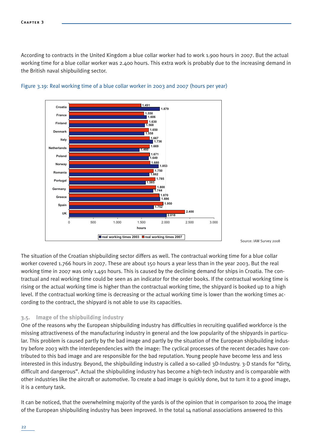According to contracts in the United Kingdom a blue collar worker had to work 1.900 hours in 2007. But the actual working time for a blue collar worker was 2.400 hours. This extra work is probably due to the increasing demand in the British naval shipbuilding sector.



#### Figure 3.19: Real working time of a blue collar worker in 2003 and 2007 (hours per year)

Source: IAW Survey 2008

The situation of the Croatian shipbuilding sector differs as well. The contractual working time for a blue collar worker covered 1.766 hours in 2007. These are about 150 hours a year less than in the year 2003. But the real working time in 2007 was only 1.491 hours. This is caused by the declining demand for ships in Croatia. The contractual and real working time could be seen as an indicator for the order books. If the contractual working time is rising or the actual working time is higher than the contractual working time, the shipyard is booked up to a high level. If the contractual working time is decreasing or the actual working time is lower than the working times according to the contract, the shipyard is not able to use its capacities.

#### **3.5. Image of the shipbuilding industry**

One of the reasons why the European shipbuilding industry has difficulties in recruiting qualified workforce is the missing attractiveness of the manufacturing industry in general and the low popularity of the shipyards in particular. This problem is caused partly by the bad image and partly by the situation of the European shipbuilding industry before 2003 with the interdependencies with the image: The cyclical processes of the recent decades have contributed to this bad image and are responsible for the bad reputation. Young people have become less and less interested in this industry. Beyond, the shipbuilding industry is called a so-called 3D-Industry. 3-D stands for "dirty, difficult and dangerous". Actual the shipbuilding industry has become a high-tech industry and is comparable with other industries like the aircraft or automotive. To create a bad image is quickly done, but to turn it to a good image, it is a century task.

It can be noticed, that the overwhelming majority of the yards is of the opinion that in comparison to 2004 the image of the European shipbuilding industry has been improved. In the total 14 national associations answered to this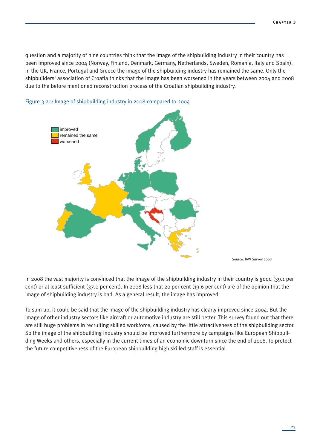question and a majority of nine countries think that the image of the shipbuilding industry in their country has been improved since 2004 (Norway, Finland, Denmark, Germany, Netherlands, Sweden, Romania, Italy and Spain). In the UK, France, Portugal and Greece the image of the shipbuilding industry has remained the same. Only the shipbuilders' association of Croatia thinks that the image has been worsened in the years between 2004 and 2008 due to the before mentioned reconstruction process of the Croatian shipbuilding industry.



#### Figure 3.20: Image of shipbuilding industry in 2008 compared to 2004

Source: IAW Survey 2008

In 2008 the vast majority is convinced that the image of the shipbuilding industry in their country is good (39.1 per cent) or al least sufficient (37.0 per cent). In 2008 less that 20 per cent (19.6 per cent) are of the opinion that the image of shipbuilding industry is bad. As a general result, the image has improved.

To sum up, it could be said that the image of the shipbuilding industry has clearly improved since 2004. But the image of other industry sectors like aircraft or automotive industry are still better. This survey found out that there are still huge problems in recruiting skilled workforce, caused by the little attractiveness of the shipbuilding sector. So the image of the shipbuilding industry should be improved furthermore by campaigns like European Shipbuilding Weeks and others, especially in the current times of an economic downturn since the end of 2008. To protect the future competitiveness of the European shipbuilding high skilled staff is essential.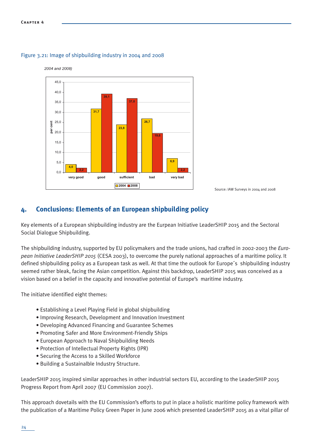

#### Figure 3.21: Image of shipbuilding industry in 2004 and 2008



# **4. Conclusions: Elements of an European shipbuilding policy**

Key elements of a European shipbuilding industry are the Eurpean Initiative LeaderSHIP 2015 and the Sectoral Social Dialogue Shipbuilding.

The shipbuilding industry, supported by EU policymakers and the trade unions, had crafted in 2002-2003 the *European Initiative LeaderSHIP 2015* (CESA 2003), to overcome the purely national approaches of a maritime policy. It defined shipbuilding policy as a European task as well. At that time the outlook for Europe´s shipbuilding industry seemed rather bleak, facing the Asian competition. Against this backdrop, LeaderSHIP 2015 was conceived as a vision based on a belief in the capacity and innovative potential of Europe's maritime industry.

The initiatve identified eight themes:

- Establishing a Level Playing Field in global shipbuilding
- Improving Research, Development and Innovation Investment
- Developing Advanced Financing and Guarantee Schemes
- Promoting Safer and More Environment-Friendly Ships
- European Approach to Naval Shipbuilding Needs
- Protection of Intellectual Property Rights (IPR)
- Securing the Access to a Skilled Workforce
- Building a Sustainalble Industry Structure.

LeaderSHIP 2015 inspired similar approaches in other industrial sectors EU, according to the LeaderSHIP 2015 Progress Report from April 2007 (EU Commission 2007).

This approach dovetails with the EU Commission's efforts to put in place a holistic maritime policy framework with the publication of a Maritime Policy Green Paper in June 2006 which presented LeaderSHIP 2015 as a vital pillar of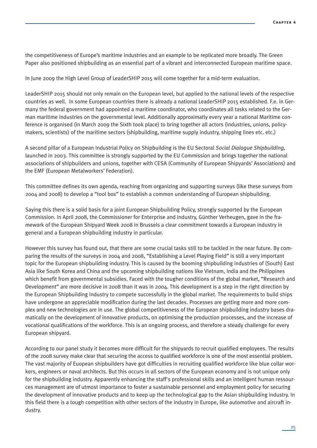the competitiveness of Europe's maritime industries and an example to be replicated more broadly. The Green Paper also positioned shipbuilding as an essential part of a vibrant and interconnected European maritime space.

In June 2009 the High Level Group of LeaderSHIP 2015 will come together for a mid-term evaluation.

LeaderSHIP 2015 should not only remain on the European level, but applied to the national levels of the respective countries as well. In some European countries there is already a national LeaderSHIP 2015 established. F.e. in Germany the federal government had appointed a maritime coordinator, who coordinates all tasks related to the German maritime industries on the governmental level. Additionally approximatly every year a national Maritime conference is organised (in March 2009 the Sixth took place) to bring together all actors (industries, unions, policymakers, scientists) of the maritime sectors (shipbuilding, maritime supply industry, shipping lines etc. etc.)

A second pillar of a European Industrial Policy on Shipbuilding is the EU Sectoral *Social Dialogue Shipbuilding,* launched in 2003. This committee is strongly supported by the EU Commission and brings together the national associations of shipbuilders and unions, together with CESA (Community of European Shipyards' Associations) and the EMF (European Metalworkers' Federation).

This committee defines its own agenda, reaching from organizing and supporting surveys (like these surveys from 2004 and 2008) to develop a "tool box" to establish a common understanding of European shipbuilding.

Saying this there is a solid basis for a joint European Shipbuilding Policy, strongly supported by the European Commission. In April 2008, the Commissioner for Enterprise and Industry, Günther Verheugen, gave in the framework of the European Shipyard Week 2008 in Brussels a clear commitment towards a European industry in general and a European shipbuilding industry in particular.

However this survey has found out, that there are some crucial tasks still to be tackled in the near future. By comparing the results of the surveys in 2004 and 2008, "Establishing a Level Playing Field" is still a very important topic for the European shipbuilding industry. This is caused by the booming shipbuilding industries of (South) East Asia like South Korea and China and the upcoming shipbuilding nations like Vietnam, India and the Philippines which benefit from governmental subsidies. Faced with the tougher conditions of the global market, "Research and Development" are more decisive in 2008 than it was in 2004. This development is a step in the right direction by the European Shipbuilding Industry to compete successfully in the global market. The requirements to build ships have undergone an appreciable modification during the last decades. Processes are getting more and more complex and new technologies are in use. The global competitiveness of the European shipbuilding industry bases dramatically on the development of innovative products, on optimising the production processes, and the increase of vocational qualifications of the workforce. This is an ongoing process, and therefore a steady challenge for every European shipyard.

According to our panel study it becomes more difficult for the shipyards to recruit qualified employees. The results of the 2008 survey make clear that securing the access to qualified workforce is one of the most essential problem. The vast majority of Euopean shipbuilders have got difficulties in recruiting qualified workforce like blue collar workers, engineers or naval architects. But this occurs in all sectors of the European economy and is not unique only for the shipbuilding industry. Apparently enhancing the staff's professional skills and an intelligent human ressources management are of utmost importance to foster a sustainable personnel and employment policy for securing the development of innovative products and to keep up the technological gap to the Asian shipbuilding industry. In this field there is a tough competition with other sectors of the industry in Europe, like automotive and aircraft industry.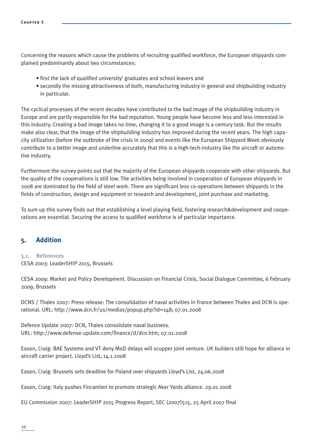Concerning the reasons which cause the problems of recruiting qualified workforce, the European shipyards complained predominantly about two circumstances:

- first the lack of qualified university' graduates and school leavers and
- secondly the missing attractiveness of both, manufacturing industry in general and shipbuilding industry in particular.

The cyclical processes of the recent decades have contributed to the bad image of the shipbuilding industry in Europe and are partly responsible for the bad reputation. Young people have become less and less interested in this industry. Creating a bad image takes no time, changing it to a good image is a century task. But the results make also clear, that the image of the shipbuilding industry has improved during the recent years. The high capacity utilization (before the outbroke of the crisis in 2009) and events like the European Shipyard Week obviously contribute to a better image and underline accurately that this is a high-tech-industry like the aircraft or automotive industry.

Furthermore the survey points out that the majority of the European shipyards cooperate with other shipyards. But the quality of the cooperations is still low. The activities being involved in cooperation of European shipyards in 2008 are dominated by the field of steel work. There are significant less co-operations between shipyards in the fields of construction, design and equipment or research and development, joint purchase and marketing.

To sum up this survey finds out that establishing a level playing field, fostering research&development and cooperations are essential. Securing the access to qualified workforce is of particular importance.

# **5. Addition**

# **5.1. References** CESA 2003: LeaderSHIP 2015, Brussels

CESA 2009: Market and Policy Development. Discussion on Financial Crisis, Social Dialogue Committee, 6 February 2009, Brussels

DCNS / Thales 2007: Press release: The consolidation of naval activities in France between Thales and DCN is operational. URL: http://www.dcn.fr/us/medias/popup.php?id=148; 07.01.2008

Defence Update 2007: DCN, Thales consolidate naval business. URL: http://www.defense-update.com/finance/d/dcn.htm; 07.01.2008

Eason, Craig: BAE Systems and VT deny MoD delays will scupper joint venture. UK builders still hope for alliance in aircraft carrier project. Lloyd's List, 14.1.2008

Eason, Craig: Brussels sets deadline for Poland over shipyards Lloyd's List, 24.06.2008

Eason, Craig: Italy pushes Fincantieri to promote strategic Aker Yards alliance. 29.01.2008

EU Commission 2007: LeaderSHIP 2015 Progress Report, SEC (2007)515, 25 April 2007 final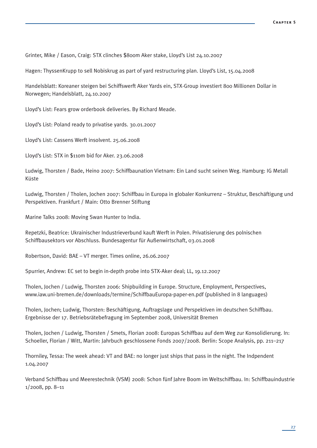Grinter, Mike / Eason, Craig: STX clinches \$800m Aker stake, Lloyd's List 24.10.2007

Hagen: ThyssenKrupp to sell Nobiskrug as part of yard restructuring plan. Lloyd's List, 15.04.2008

Handelsblatt: Koreaner steigen bei Schiffswerft Aker Yards ein, STX-Group investiert 800 Millionen Dollar in Norwegen; Handelsblatt, 24.10.2007

Lloyd's List: Fears grow orderbook deliveries. By Richard Meade.

Lloyd's List: Poland ready to privatise yards. 30.01.2007

Lloyd's List: Cassens Werft insolvent. 25.06.2008

Lloyd's List: STX in \$110m bid for Aker. 23.06.2008

Ludwig, Thorsten / Bade, Heino 2007: Schiffbaunation Vietnam: Ein Land sucht seinen Weg. Hamburg: IG Metall Küste

Ludwig, Thorsten / Tholen, Jochen 2007: Schiffbau in Europa in globaler Konkurrenz – Struktur, Beschäftigung und Perspektiven. Frankfurt / Main: Otto Brenner Stiftung

Marine Talks 2008: Moving Swan Hunter to India.

Repetzki, Beatrice: Ukrainischer Industrieverbund kauft Werft in Polen. Privatisierung des polnischen Schiffbausektors vor Abschluss. Bundesagentur für Außenwirtschaft, 03.01.2008

Robertson, David: BAE – VT merger. Times online, 26.06.2007

Spurrier, Andrew: EC set to begin in-depth probe into STX-Aker deal; LL, 19.12.2007

Tholen, Jochen / Ludwig, Thorsten 2006: Shipbuilding in Europe. Structure, Employment, Perspectives, www.iaw.uni-bremen.de/downloads/termine/SchiffbauEuropa-paper-en.pdf (published in 8 languages)

Tholen, Jochen; Ludwig, Thorsten: Beschäftigung, Auftragslage und Perspektiven im deutschen Schiffbau. Ergebnisse der 17. Betriebsrätebefragung im September 2008, Universität Bremen

Tholen, Jochen / Ludwig, Thorsten / Smets, Florian 2008: Europas Schiffbau auf dem Weg zur Konsolidierung. In: Schoeller, Florian / Witt, Martin: Jahrbuch geschlossene Fonds 2007/2008. Berlin: Scope Analysis, pp. 211–217

Thorniley, Tessa: The week ahead: VT and BAE: no longer just ships that pass in the night. The Indpendent 1.04.2007

Verband Schiffbau und Meerestechnik (VSM) 2008: Schon fünf Jahre Boom im Weltschiffbau. In: Schiffbauindustrie 1/2008, pp. 8–11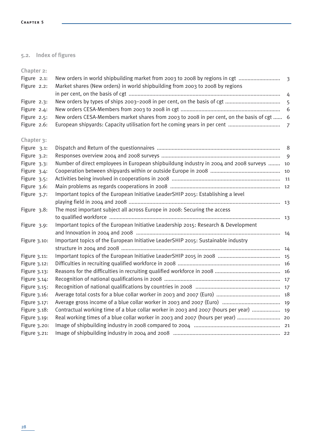# **5.2. Index of figures**

**Chapter 2:**

| Figure 2.1:<br>Figure 2.2: | New orders in world shipbuilding market from 2003 to 2008 by regions in cgt<br>Market shares (New orders) in world shipbuilding from 2003 to 2008 by regions |  |
|----------------------------|--------------------------------------------------------------------------------------------------------------------------------------------------------------|--|
|                            |                                                                                                                                                              |  |
| Figure 2.3:                |                                                                                                                                                              |  |
| Figure 2.4:                |                                                                                                                                                              |  |
| Figure 2.5:                | New orders CESA-Members market shares from 2003 to 2008 in per cent, on the basis of cgt  6                                                                  |  |
| Figure 2.6:                |                                                                                                                                                              |  |
| Chapter 3:                 |                                                                                                                                                              |  |
| Figure 3.1:                |                                                                                                                                                              |  |
| Figure 3.2:                |                                                                                                                                                              |  |
| Figure 3.3:                | Number of direct employees in European shipbuildung industry in 2004 and 2008 surveys  10                                                                    |  |
| Figure 3.4:                |                                                                                                                                                              |  |
| Figure 3.5:                |                                                                                                                                                              |  |
| Figure 3.6:                |                                                                                                                                                              |  |
| Figure 3.7:                | Important topics of the European Initiative LeaderSHIP 2015: Establishing a level                                                                            |  |
|                            |                                                                                                                                                              |  |
| Figure 3.8:                | The most important subject all across Europe in 2008: Securing the access                                                                                    |  |
|                            |                                                                                                                                                              |  |
| Figure 3.9:                | Important topics of the European Initiative Leadership 2015: Research & Development                                                                          |  |
|                            |                                                                                                                                                              |  |
| Figure 3.10:               | Important topics of the European Initiative LeaderSHIP 2015: Sustainable industry                                                                            |  |
|                            |                                                                                                                                                              |  |
| Figure 3.11:               |                                                                                                                                                              |  |
| Figure 3.12:               |                                                                                                                                                              |  |
| Figure 3.13:               |                                                                                                                                                              |  |
| Figure $3.14$ :            |                                                                                                                                                              |  |
| Figure 3.15:               |                                                                                                                                                              |  |
| Figure 3.16:               |                                                                                                                                                              |  |
| Figure 3.17:               |                                                                                                                                                              |  |
| Figure 3.18:               | Contractual working time of a blue collar worker in 2003 and 2007 (hours per year)  19                                                                       |  |
| Figure 3.19:               | Real working times of a blue collar worker in 2003 and 2007 (hours per year)  20                                                                             |  |
| Figure 3.20:               |                                                                                                                                                              |  |
| Figure 3.21:               |                                                                                                                                                              |  |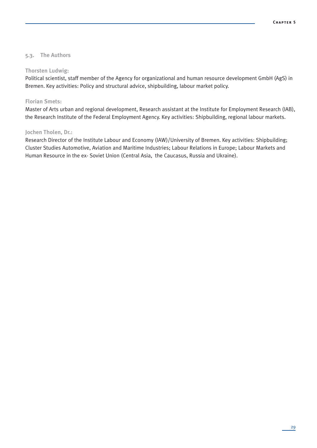#### **5.3. The Authors**

#### **Thorsten Ludwig:**

Political scientist, staff member of the Agency for organizational and human resource development GmbH (AgS) in Bremen. Key activities: Policy and structural advice, shipbuilding, labour market policy.

#### **Florian Smets:**

Master of Arts urban and regional development, Research assistant at the Institute for Employment Research (IAB), the Research Institute of the Federal Employment Agency. Key activities: Shipbuilding, regional labour markets.

#### **Jochen Tholen, Dr.:**

Research Director of the Institute Labour and Economy (IAW)/University of Bremen. Key activities: Shipbuilding; Cluster Studies Automotive, Aviation and Maritime Industries; Labour Relations in Europe; Labour Markets and Human Resource in the ex- Soviet Union (Central Asia, the Caucasus, Russia and Ukraine).